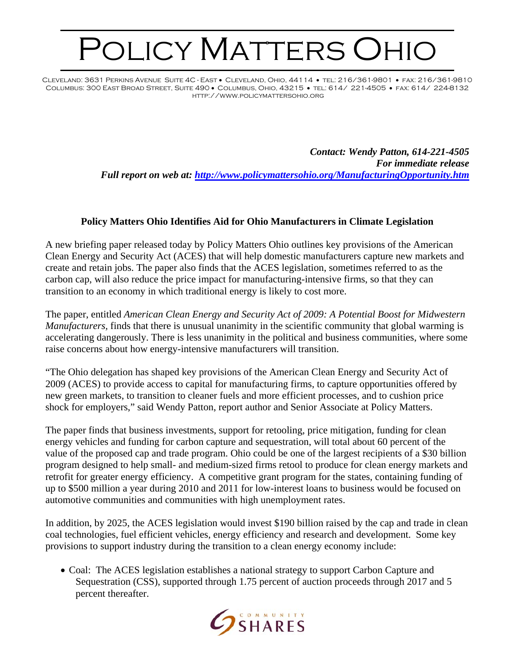## POLICY MATTERS OHIO

Cleveland: 3631 Perkins Avenue Suite 4C - East • Cleveland, Ohio, 44114 • tel: 216/361-9801 • fax: 216/361-9810 Columbus: 300 East Broad Street, Suite 490 • Columbus, Ohio, 43215 • tel: 614/ 221-4505 • fax: 614/ 224-8132 http://www.policymattersohio.org

> *Contact: Wendy Patton, 614-221-4505 For immediate release Full report on web at: <http://www.policymattersohio.org/ManufacturingOpportunity.htm>*

## **Policy Matters Ohio Identifies Aid for Ohio Manufacturers in Climate Legislation**

A new briefing paper released today by Policy Matters Ohio outlines key provisions of the American Clean Energy and Security Act (ACES) that will help domestic manufacturers capture new markets and create and retain jobs. The paper also finds that the ACES legislation, sometimes referred to as the carbon cap, will also reduce the price impact for manufacturing-intensive firms, so that they can transition to an economy in which traditional energy is likely to cost more.

The paper, entitled *American Clean Energy and Security Act of 2009: A Potential Boost for Midwestern Manufacturers,* finds that there is unusual unanimity in the scientific community that global warming is accelerating dangerously. There is less unanimity in the political and business communities, where some raise concerns about how energy-intensive manufacturers will transition.

"The Ohio delegation has shaped key provisions of the American Clean Energy and Security Act of 2009 (ACES) to provide access to capital for manufacturing firms, to capture opportunities offered by new green markets, to transition to cleaner fuels and more efficient processes, and to cushion price shock for employers," said Wendy Patton, report author and Senior Associate at Policy Matters.

The paper finds that business investments, support for retooling, price mitigation, funding for clean energy vehicles and funding for carbon capture and sequestration, will total about 60 percent of the value of the proposed cap and trade program. Ohio could be one of the largest recipients of a \$30 billion program designed to help small- and medium-sized firms retool to produce for clean energy markets and retrofit for greater energy efficiency. A competitive grant program for the states, containing funding of up to \$500 million a year during 2010 and 2011 for low-interest loans to business would be focused on automotive communities and communities with high unemployment rates.

In addition, by 2025, the ACES legislation would invest \$190 billion raised by the cap and trade in clean coal technologies, fuel efficient vehicles, energy efficiency and research and development. Some key provisions to support industry during the transition to a clean energy economy include:

• Coal: The ACES legislation establishes a national strategy to support Carbon Capture and Sequestration (CSS), supported through 1.75 percent of auction proceeds through 2017 and 5 percent thereafter.